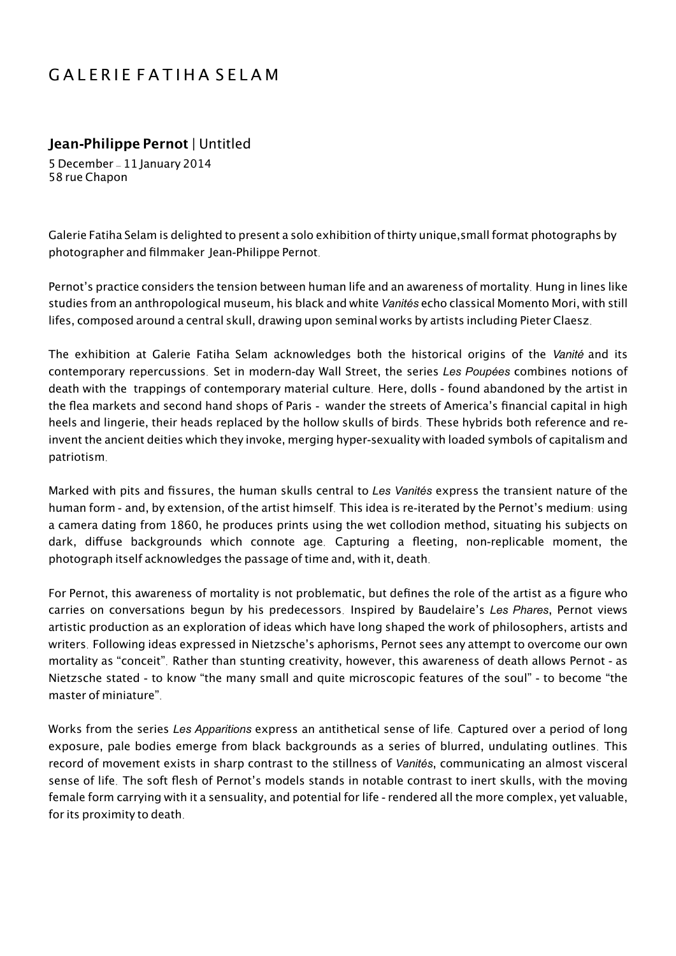# GALERIE FATIHA SELAM

## **Jean-Philippe Pernot** | Untitled

5 December - 11 January 2014 58 rue Chapon

Galerie Fatiha Selam is delighted to present a solo exhibition of thirty unique,small format photographs by photographer and filmmaker Jean-Philippe Pernot.

Pernot's practice considers the tension between human life and an awareness of mortality. Hung in lines like studies from an anthropological museum, his black and white *Vanités* echo classical Momento Mori, with still lifes, composed around a central skull, drawing upon seminal works by artists including Pieter Claesz.

The exhibition at Galerie Fatiha Selam acknowledges both the historical origins of the *Vanité* and its contemporary repercussions. Set in modern-day Wall Street, the series *Les Poupées* combines notions of death with the trappings of contemporary material culture. Here, dolls - found abandoned by the artist in the flea markets and second hand shops of Paris - wander the streets of America's financial capital in high heels and lingerie, their heads replaced by the hollow skulls of birds. These hybrids both reference and reinvent the ancient deities which they invoke, merging hyper-sexuality with loaded symbols of capitalism and patriotism.

Marked with pits and fissures, the human skulls central to *Les Vanités* express the transient nature of the human form - and, by extension, of the artist himself. This idea is re-iterated by the Pernot's medium: using a camera dating from 1860, he produces prints using the wet collodion method, situating his subjects on dark, diffuse backgrounds which connote age. Capturing a fleeting, non-replicable moment, the photograph itself acknowledges the passage of time and, with it, death.

For Pernot, this awareness of mortality is not problematic, but defines the role of the artist as a figure who carries on conversations begun by his predecessors. Inspired by Baudelaire's *Les Phares*, Pernot views artistic production as an exploration of ideas which have long shaped the work of philosophers, artists and writers. Following ideas expressed in Nietzsche's aphorisms, Pernot sees any attempt to overcome our own mortality as "conceit". Rather than stunting creativity, however, this awareness of death allows Pernot - as Nietzsche stated - to know "the many small and quite microscopic features of the soul" - to become "the master of miniature".

Works from the series *Les Apparitions* express an antithetical sense of life. Captured over a period of long exposure, pale bodies emerge from black backgrounds as a series of blurred, undulating outlines. This record of movement exists in sharp contrast to the stillness of *Vanités*, communicating an almost visceral sense of life. The soft flesh of Pernot's models stands in notable contrast to inert skulls, with the moving female form carrying with it a sensuality, and potential for life - rendered all the more complex, yet valuable, for its proximity to death.